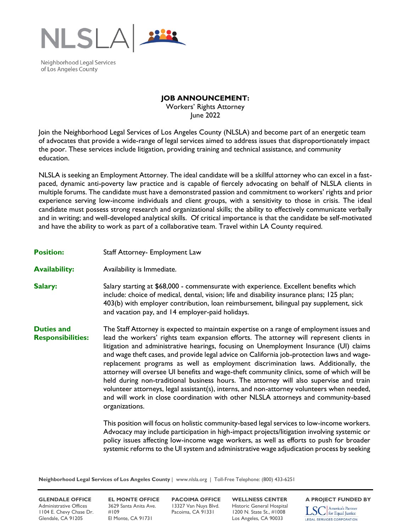

Neighborhood Legal Services of Los Angeles County

## **JOB ANNOUNCEMENT:**

Workers' Rights Attorney June 2022

Join the Neighborhood Legal Services of Los Angeles County (NLSLA) and become part of an energetic team of advocates that provide a wide-range of legal services aimed to address issues that disproportionately impact the poor. These services include litigation, providing training and technical assistance, and community education.

NLSLA is seeking an Employment Attorney. The ideal candidate will be a skillful attorney who can excel in a fastpaced, dynamic anti-poverty law practice and is capable of fiercely advocating on behalf of NLSLA clients in multiple forums. The candidate must have a demonstrated passion and commitment to workers' rights and prior experience serving low-income individuals and client groups, with a sensitivity to those in crisis. The ideal candidate must possess strong research and organizational skills; the ability to effectively communicate verbally and in writing; and well-developed analytical skills. Of critical importance is that the candidate be self-motivated and have the ability to work as part of a collaborative team. Travel within LA County required.

## **Position:** Staff Attorney- Employment Law

- **Availability:** Availability is Immediate.
- **Salary:** Salary starting at \$68,000 commensurate with experience. Excellent benefits which include: choice of medical, dental, vision; life and disability insurance plans; 125 plan; 403(b) with employer contribution, loan reimbursement, bilingual pay supplement, sick and vacation pay, and 14 employer-paid holidays.

**Duties and Responsibilities:**  The Staff Attorney is expected to maintain expertise on a range of employment issues and lead the workers' rights team expansion efforts. The attorney will represent clients in litigation and administrative hearings, focusing on Unemployment Insurance (UI) claims and wage theft cases, and provide legal advice on California job-protection laws and wagereplacement programs as well as employment discrimination laws. Additionally, the attorney will oversee UI benefits and wage-theft community clinics, some of which will be held during non-traditional business hours. The attorney will also supervise and train volunteer attorneys, legal assistant(s), interns, and non-attorney volunteers when needed, and will work in close coordination with other NLSLA attorneys and community-based organizations.

> This position will focus on holistic community-based legal services to low-income workers. Advocacy may include participation in high-impact projects/litigation involving systemic or policy issues affecting low-income wage workers, as well as efforts to push for broader systemic reforms to the UI system and administrative wage adjudication process by seeking

**Neighborhood Legal Services of Los Angeles County** | www.nlsla.org | Toll-Free Telephone: (800) 433-6251

**GLENDALE OFFICE EL MONTE OFFICE PACOIMA OFFICE WELLNESS CENTER** A PROJECT FUNDED BY<br>Administrative Offices 3629 Santa Anita Ave. 13327 Van Nuys Blvd. Historic General Hospital **Trangel America's Partner** Administrative Offices 3629 Santa Anita Ave. 13327 Van Nuys Blvd. Historic General Hospital<br>1104 E. Chevy Chase Dr. #109 Pacoima, CA 91331 1200 N. State St., #1008 1104 E. Chevy Chase Dr. #109 Pacoima, CA 91331 1200 N. State St., #1008 Glendale, CA 91205 El Monte, CA 91731 Los Angeles, CA 90033